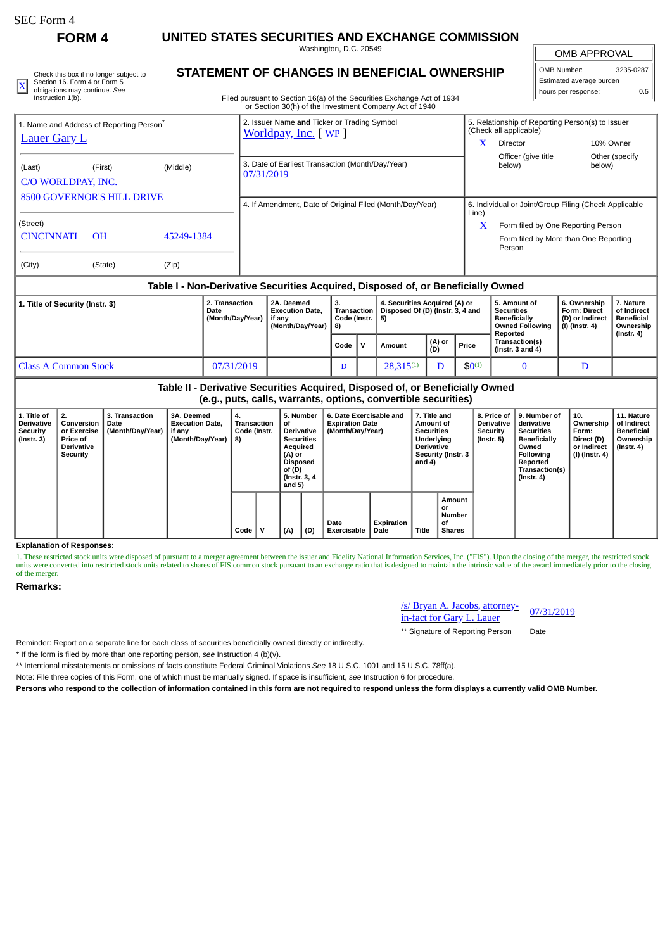# SEC Form 4

**FORM 4 UNITED STATES SECURITIES AND EXCHANGE COMMISSION**

Washington, D.C. 20549

| Check this box if no longer subject to | STATEMENT OF CHANGES IN BENEFICIAL OWNERSHIP                           | OMB Number.              | 3235-0287 |
|----------------------------------------|------------------------------------------------------------------------|--------------------------|-----------|
| Section 16, Form 4 or Form 5           |                                                                        | Estimated average burden |           |
| * obligations may continue. See        |                                                                        | I hours per response:    |           |
| Instruction 1(b).                      | Filed pursuant to Section 16(a) of the Securities Exchange Act of 1934 |                          |           |

## **STATEMENT OF CHANGES IN BENEFICIAL OWNERSHIP**

Filed pursuant to Section 16(a) of the Securities Exchange Act of 1934 or Section 30(h) of the Investment Company Act of 1940

# OMB APPROVAL OMB Number: 3235-0287 Estimated average burden

| hours per response:      | 0.5 |
|--------------------------|-----|
| Estimated average burden |     |

| <b>Lauer Gary L</b>                         | 1. Name and Address of Reporting Person <sup>®</sup> |          | 2. Issuer Name and Ticker or Trading Symbol<br><u>Worldpay, Inc.</u> [ WP ] | 5. Relationship of Reporting Person(s) to Issuer<br>(Check all applicable) |                                                       |                          |  |  |
|---------------------------------------------|------------------------------------------------------|----------|-----------------------------------------------------------------------------|----------------------------------------------------------------------------|-------------------------------------------------------|--------------------------|--|--|
|                                             |                                                      |          |                                                                             | x                                                                          | Director                                              | 10% Owner                |  |  |
| (Last)<br>C/O WORLDPAY, INC.                | (First)                                              | (Middle) | 3. Date of Earliest Transaction (Month/Day/Year)<br>07/31/2019              |                                                                            | Officer (give title)<br>below)                        | Other (specify<br>below) |  |  |
|                                             | <b>8500 GOVERNOR'S HILL DRIVE</b>                    |          | 4. If Amendment, Date of Original Filed (Month/Day/Year)                    | Line)                                                                      | 6. Individual or Joint/Group Filing (Check Applicable |                          |  |  |
| (Street)                                    |                                                      |          |                                                                             | X<br>Form filed by One Reporting Person                                    |                                                       |                          |  |  |
| <b>CINCINNATI</b><br>$\Omega$<br>45249-1384 |                                                      |          |                                                                             |                                                                            | Form filed by More than One Reporting<br>Person       |                          |  |  |
| (City)                                      | (State)                                              | (Zip)    |                                                                             |                                                                            |                                                       |                          |  |  |

## **Table I - Non-Derivative Securities Acquired, Disposed of, or Beneficially Owned**

| 1. Title of Security (Instr. 3) | 2. Transaction<br>Date<br>(Month/Day/Year) | 2A. Deemed<br><b>Execution Date.</b><br>if anv<br>(Month/Dav/Year)   8) | з.<br>Transaction<br>Code (Instr.   5) |  | 4. Securities Acquired (A) or<br>Disposed Of (D) (Instr. 3, 4 and |               |             | 5. Amount of<br><b>Securities</b><br><b>Beneficially</b><br>Owned Following | 6. Ownership<br><b>Form: Direct</b><br>(D) or Indirect<br>(I) (Instr. 4) | 7. Nature<br>of Indirect<br>Beneficial<br>Ownership |
|---------------------------------|--------------------------------------------|-------------------------------------------------------------------------|----------------------------------------|--|-------------------------------------------------------------------|---------------|-------------|-----------------------------------------------------------------------------|--------------------------------------------------------------------------|-----------------------------------------------------|
|                                 |                                            |                                                                         | Code                                   |  | Amount                                                            | (A) or<br>(D) | Price       | Reported<br><b>Transaction(s)</b><br>(Instr. $3$ and $4$ )                  |                                                                          | $($ lnstr. 4 $)$                                    |
| <b>Class A Common Stock</b>     | 07/31/2019                                 |                                                                         | D                                      |  | $28.315^{(1)}$                                                    |               | $$0^{(1)}$$ |                                                                             |                                                                          |                                                     |

## **Table II - Derivative Securities Acquired, Disposed of, or Beneficially Owned (e.g., puts, calls, warrants, options, convertible securities)**

| 1. Title of<br><b>Derivative</b><br>Security<br>$($ Instr. 3 $)$ | 2.<br>Conversion<br>or Exercise<br><b>Price of</b><br><b>Derivative</b><br>Security | 3. Transaction<br>Date<br>(Month/Day/Year) | 3A. Deemed<br><b>Execution Date.</b><br>if any<br>(Month/Day/Year) | 4.<br><b>Transaction</b><br>Code (Instr.<br>8) |  | 5. Number<br>οf<br><b>Derivative</b><br><b>Securities</b><br>Acquired<br>(A) or<br><b>Disposed</b><br>of (D)<br>(Instr. 3, 4)<br>and $5)$ |     | 6. Date Exercisable and<br><b>Expiration Date</b><br>(Month/Day/Year) |                    | 7. Title and<br>Amount of<br><b>Securities</b><br>Underlying<br><b>Derivative</b><br>Security (Instr. 3<br>and 4) |                                               | 8. Price of<br><b>Derivative</b><br>Security<br>(Instr. 5) | 9. Number of<br>derivative<br><b>Securities</b><br><b>Beneficially</b><br>Owned<br>Following<br>Reported<br>Transaction(s)<br>(Instr. 4) | 10.<br>Ownership<br>Form:<br>Direct (D)<br>or Indirect<br>(I) (Instr. 4) | 11. Nature<br>of Indirect<br>Beneficial<br>Ownership<br>(Instr. 4) |
|------------------------------------------------------------------|-------------------------------------------------------------------------------------|--------------------------------------------|--------------------------------------------------------------------|------------------------------------------------|--|-------------------------------------------------------------------------------------------------------------------------------------------|-----|-----------------------------------------------------------------------|--------------------|-------------------------------------------------------------------------------------------------------------------|-----------------------------------------------|------------------------------------------------------------|------------------------------------------------------------------------------------------------------------------------------------------|--------------------------------------------------------------------------|--------------------------------------------------------------------|
|                                                                  |                                                                                     |                                            |                                                                    | $Code \vert$                                   |  | (A)                                                                                                                                       | (D) | Date<br>Exercisable                                                   | Expiration<br>Date | Title                                                                                                             | Amount<br>or<br>Number<br>οf<br><b>Shares</b> |                                                            |                                                                                                                                          |                                                                          |                                                                    |

#### **Explanation of Responses:**

1. These restricted stock units were disposed of pursuant to a merger agreement between the issuer and Fidelity National Information Services, Inc. ("FIS"). Upon the closing of the merger, the restricted stock units were converted into restricted stock units related to shares of FIS common stock pursuant to an exchange ratio that is designed to maintain the intrinsic value of the award immediately prior to the closing of the merger.

### **Remarks:**

/s/ Bryan A. Jacobs, attorney-<u>*ISI* Bryan A. Jacobs, attorney-</u> 07/31/2019<br>in-fact for Gary L. Lauer

\*\* Signature of Reporting Person Date

Reminder: Report on a separate line for each class of securities beneficially owned directly or indirectly.

\* If the form is filed by more than one reporting person, *see* Instruction 4 (b)(v).

\*\* Intentional misstatements or omissions of facts constitute Federal Criminal Violations *See* 18 U.S.C. 1001 and 15 U.S.C. 78ff(a).

Note: File three copies of this Form, one of which must be manually signed. If space is insufficient, *see* Instruction 6 for procedure.

**Persons who respond to the collection of information contained in this form are not required to respond unless the form displays a currently valid OMB Number.**